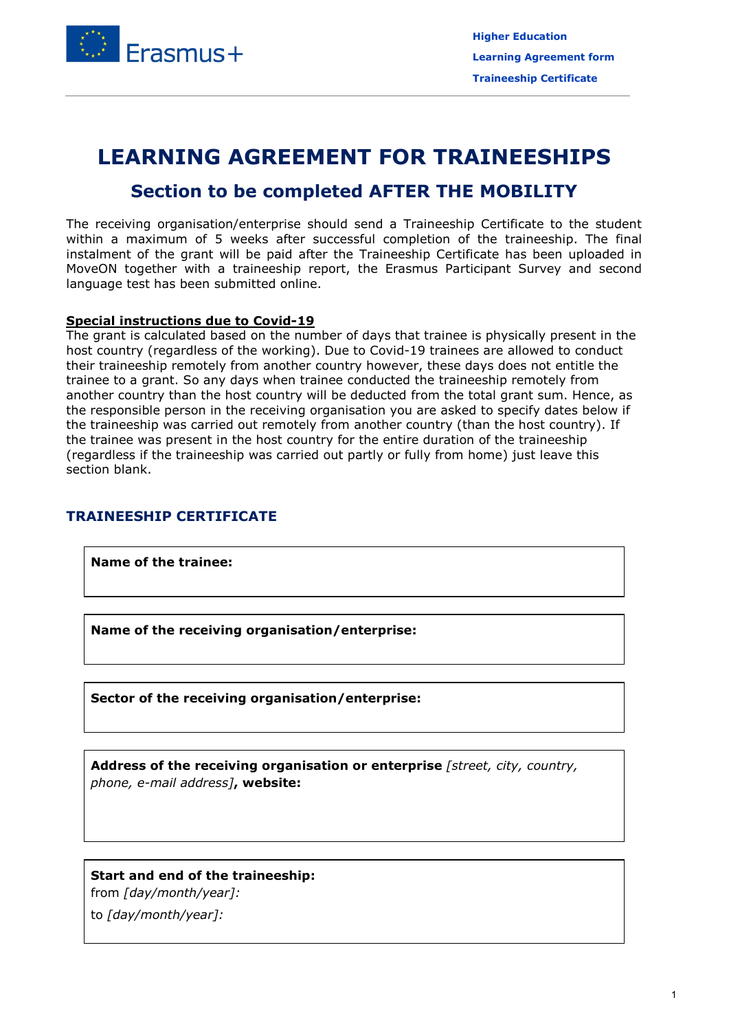

# **LEARNING AGREEMENT FOR TRAINEESHIPS**

## **Section to be completed AFTER THE MOBILITY**

The receiving organisation/enterprise should send a Traineeship Certificate to the student within a maximum of 5 weeks after successful completion of the traineeship. The final instalment of the grant will be paid after the Traineeship Certificate has been uploaded in MoveON together with a traineeship report, the Erasmus Participant Survey and second language test has been submitted online.

#### **Special instructions due to Covid-19**

The grant is calculated based on the number of days that trainee is physically present in the host country (regardless of the working). Due to Covid-19 trainees are allowed to conduct their traineeship remotely from another country however, these days does not entitle the trainee to a grant. So any days when trainee conducted the traineeship remotely from another country than the host country will be deducted from the total grant sum. Hence, as the responsible person in the receiving organisation you are asked to specify dates below if the traineeship was carried out remotely from another country (than the host country). If the trainee was present in the host country for the entire duration of the traineeship (regardless if the traineeship was carried out partly or fully from home) just leave this section blank.

#### **TRAINEESHIP CERTIFICATE**

**Name of the trainee:**

**Name of the receiving organisation/enterprise:**

**Sector of the receiving organisation/enterprise:**

**Address of the receiving organisation or enterprise** *[street, city, country, phone, e-mail address]***, website:**

**Start and end of the traineeship:**

from *[day/month/year]:*

to *[day/month/year]:*